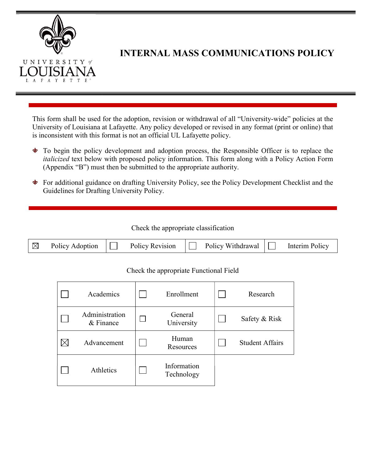

# INTERNAL MASS COMMUNICATIONS POLICY

This form shall be used for the adoption, revision or withdrawal of all "University-wide" policies at the University of Louisiana at Lafayette. Any policy developed or revised in any format (print or online) that is inconsistent with this format is not an official UL Lafayette policy.

- To begin the policy development and adoption process, the Responsible Officer is to replace the italicized text below with proposed policy information. This form along with a Policy Action Form (Appendix "B") must then be submitted to the appropriate authority.
- For additional guidance on drafting University Policy, see the Policy Development Checklist and the Guidelines for Drafting University Policy.

Check the appropriate classification

| $\mathbb{R}^n$<br>Policy Adoption |  | Policy Revision |  | Policy Withdrawal |  | Interim Policy |
|-----------------------------------|--|-----------------|--|-------------------|--|----------------|
|-----------------------------------|--|-----------------|--|-------------------|--|----------------|

#### Check the appropriate Functional Field

| Academics                   | Enrollment                | Research               |
|-----------------------------|---------------------------|------------------------|
| Administration<br>& Finance | General<br>University     | Safety & Risk          |
| Advancement                 | Human<br>Resources        | <b>Student Affairs</b> |
| Athletics                   | Information<br>Technology |                        |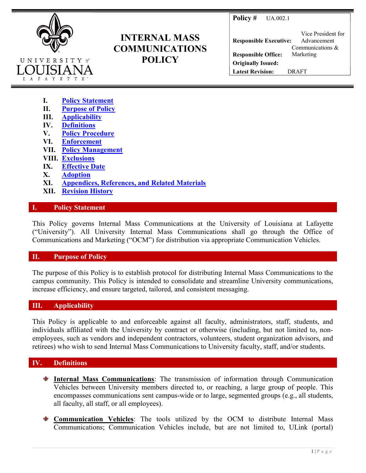**Policy # UA.002.1** 



# INTERNAL MASS COMMUNICATIONS **POLICY**

Responsible Executive: Vice President for Advancement Responsible Office: Communications & Marketing Originally Issued: Latest Revision: DRAFT

- I. Policy Statement
- II. Purpose of Policy
- III. Applicability
- IV. Definitions
- V. Policy Procedure
- VI. Enforcement
- VII. Policy Management
- VIII. Exclusions
- IX. Effective Date
- X. Adoption
- XI. Appendices, References, and Related Materials
- XII. Revision History

## I. Policy Statement

This Policy governs Internal Mass Communications at the University of Louisiana at Lafayette ("University"). All University Internal Mass Communications shall go through the Office of Communications and Marketing ("OCM") for distribution via appropriate Communication Vehicles.

## II. Purpose of Policy

The purpose of this Policy is to establish protocol for distributing Internal Mass Communications to the campus community. This Policy is intended to consolidate and streamline University communications, increase efficiency, and ensure targeted, tailored, and consistent messaging.

# III. Applicability

This Policy is applicable to and enforceable against all faculty, administrators, staff, students, and individuals affiliated with the University by contract or otherwise (including, but not limited to, nonemployees, such as vendors and independent contractors, volunteers, student organization advisors, and retirees) who wish to send Internal Mass Communications to University faculty, staff, and/or students.

# IV. Definitions

- Internal Mass Communications: The transmission of information through Communication Vehicles between University members directed to, or reaching, a large group of people. This encompasses communications sent campus-wide or to large, segmented groups (e.g., all students, all faculty, all staff, or all employees).
- **Communication Vehicles:** The tools utilized by the OCM to distribute Internal Mass Communications; Communication Vehicles include, but are not limited to, ULink (portal)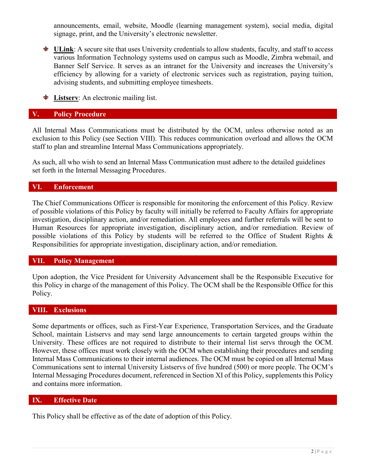announcements, email, website, Moodle (learning management system), social media, digital signage, print, and the University's electronic newsletter.

- $\bullet$  ULink: A secure site that uses University credentials to allow students, faculty, and staff to access various Information Technology systems used on campus such as Moodle, Zimbra webmail, and Banner Self Service. It serves as an intranet for the University and increases the University's efficiency by allowing for a variety of electronic services such as registration, paying tuition, advising students, and submitting employee timesheets.
- **Extract** Listserv: An electronic mailing list.

#### V. Policy Procedure

All Internal Mass Communications must be distributed by the OCM, unless otherwise noted as an exclusion to this Policy (see Section VIII). This reduces communication overload and allows the OCM staff to plan and streamline Internal Mass Communications appropriately.

As such, all who wish to send an Internal Mass Communication must adhere to the detailed guidelines set forth in the Internal Messaging Procedures.

## VI. Enforcement

The Chief Communications Officer is responsible for monitoring the enforcement of this Policy. Review of possible violations of this Policy by faculty will initially be referred to Faculty Affairs for appropriate investigation, disciplinary action, and/or remediation. All employees and further referrals will be sent to Human Resources for appropriate investigation, disciplinary action, and/or remediation. Review of possible violations of this Policy by students will be referred to the Office of Student Rights & Responsibilities for appropriate investigation, disciplinary action, and/or remediation.

#### VII. Policy Management

Upon adoption, the Vice President for University Advancement shall be the Responsible Executive for this Policy in charge of the management of this Policy. The OCM shall be the Responsible Office for this Policy.

## VIII. Exclusions

Some departments or offices, such as First-Year Experience, Transportation Services, and the Graduate School, maintain Listservs and may send large announcements to certain targeted groups within the University. These offices are not required to distribute to their internal list servs through the OCM. However, these offices must work closely with the OCM when establishing their procedures and sending Internal Mass Communications to their internal audiences. The OCM must be copied on all Internal Mass Communications sent to internal University Listservs of five hundred (500) or more people. The OCM's Internal Messaging Procedures document, referenced in Section XI of this Policy, supplements this Policy and contains more information.

#### IX. Effective Date

This Policy shall be effective as of the date of adoption of this Policy.